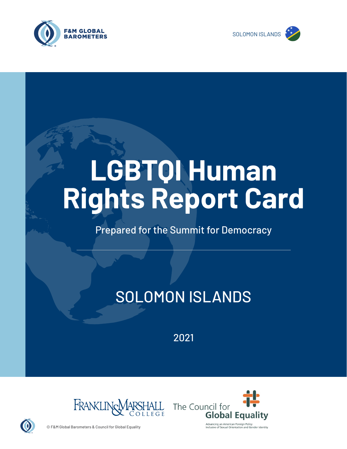



# **LGBTQI Human Rights Report Card**

Prepared for the Summit for Democracy

# SOLOMON ISLANDS

2021





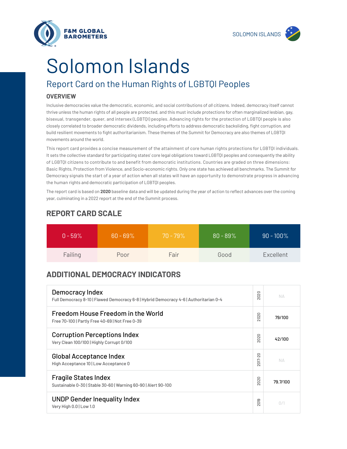

**F&M GLOBAL BAROMETERS** 

# Solomon Islands

## Report Card on the Human Rights of LGBTQI Peoples

#### **OVERVIEW**

Inclusive democracies value the democratic, economic, and social contributions of *all* citizens. Indeed, democracy itself cannot thrive unless the human rights of all people are protected, and this must include protections for often marginalized lesbian, gay, bisexual, transgender, queer, and intersex (LGBTQI) peoples. Advancing rights for the protection of LGBTQI people is also closely correlated to broader democratic dividends, including efforts to address democratic backsliding, fight corruption, and build resilient movements to fight authoritarianism. These themes of the Summit for Democracy are also themes of LGBTQI movements around the world.

This report card provides a concise measurement of the attainment of core human rights protections for LGBTQI individuals. It sets the collective standard for participating states' core legal obligations toward LGBTQI peoples and consequently the ability of LGBTQI citizens to contribute to and benefit from democratic institutions. Countries are graded on three dimensions: Basic Rights, Protection from Violence, and Socio-economic rights. Only one state has achieved all benchmarks. The Summit for Democracy signals the start of a year of action when all states will have an opportunity to demonstrate progress in advancing the human rights and democratic participation of LGBTQI peoples.

The report card is based on **2020** baseline data and will be updated during the year of action to reflect advances over the coming year, culminating in a 2022 report at the end of the Summit process.

| $0 - 59\%$ | $60 - 69\%$ | $70 - 79\%$ | $80 - 89\%$ | $90 - 100\%$ |
|------------|-------------|-------------|-------------|--------------|
| Failing    | Poor        | Fair        | Good        | Excellent    |

### **REPORT CARD SCALE**

### **ADDITIONAL DEMOCRACY INDICATORS**

| Democracy Index<br>Full Democracy 8-10   Flawed Democracy 6-8   Hybrid Democracy 4-6   Authoritarian 0-4 | 2020                | NД       |
|----------------------------------------------------------------------------------------------------------|---------------------|----------|
| Freedom House Freedom in the World<br>Free 70-100   Partly Free 40-69   Not Free 0-39                    | 2020                | 79/100   |
| <b>Corruption Perceptions Index</b><br>Very Clean 100/100   Highly Corrupt 0/100                         | 2020                | 42/100   |
| <b>Global Acceptance Index</b><br>High Acceptance 10   Low Acceptance 0                                  | 2017-20             | NД       |
| <b>Fragile States Index</b><br>Sustainable 0-30   Stable 30-60   Warning 60-90   Alert 90-100            | 2020                | 79.7/100 |
| <b>UNDP Gender Inequality Index</b><br>Very High 0.0   Low 1.0                                           | တ<br>$\overline{2}$ | 0/1      |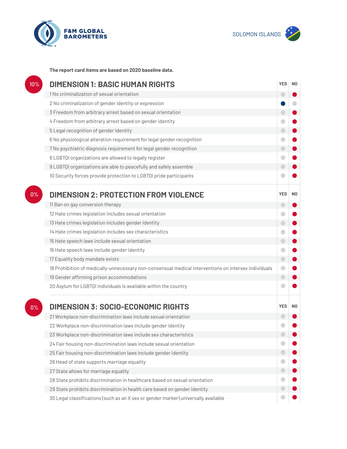



**The report card items are based on 2020 baseline data.**

| 10%   | <b>DIMENSION 1: BASIC HUMAN RIGHTS</b>                                                               |            |                |
|-------|------------------------------------------------------------------------------------------------------|------------|----------------|
|       | 1 No criminalization of sexual orientation                                                           | ۰          |                |
|       | 2 No criminalization of gender identity or expression                                                |            |                |
|       | 3 Freedom from arbitrary arrest based on sexual orientation                                          | $\Box$     |                |
|       | 4 Freedom from arbitrary arrest based on gender identity                                             |            |                |
|       | 5 Legal recognition of gender identity                                                               | $\bigcirc$ |                |
|       | 6 No physiological alteration requirement for legal gender recognition                               | o          |                |
|       | 7 No psychiatric diagnosis requirement for legal gender recognition                                  | $\bigcirc$ |                |
|       | 8 LGBTQI organizations are allowed to legally register                                               | ۰          |                |
|       | 9 LGBTQI organizations are able to peacefully and safely assemble                                    | ۰          |                |
|       | 10 Security forces provide protection to LGBTQI pride participants                                   |            |                |
| 0%    | <b>DIMENSION 2: PROTECTION FROM VIOLENCE</b>                                                         | <b>YES</b> | N <sub>0</sub> |
|       | 11 Ban on gay conversion therapy                                                                     | $\Box$     |                |
|       | 12 Hate crimes legislation includes sexual orientation                                               |            |                |
|       | 13 Hate crimes legislation includes gender identity                                                  | $\bigcirc$ |                |
|       | 14 Hate crimes legislation includes sex characteristics                                              |            |                |
|       | 15 Hate speech laws include sexual orientation                                                       | $\bigcirc$ |                |
|       | 16 Hate speech laws include gender identity                                                          |            |                |
|       | 17 Equality body mandate exists                                                                      | $\bigcirc$ |                |
|       | 18 Prohibition of medically-unnecessary non-consensual medical interventions on intersex individuals | $\bullet$  |                |
|       | 19 Gender affirming prison accommodations                                                            | $\bigcirc$ |                |
|       | 20 Asylum for LGBTQI individuals is available within the country                                     |            |                |
| $0\%$ | <b>DIMENSION 3: SOCIO-ECONOMIC RIGHTS</b>                                                            | <b>YES</b> | N <sub>0</sub> |
|       | 21 Workplace non-discrimination laws include sexual orientation                                      |            |                |
|       | 22 Workplace non-discrimination laws include gender identity                                         |            |                |
|       | 23 Workplace non-discrimination laws include sex characteristics                                     |            |                |
|       | 24 Fair housing non-discrimination laws include sexual orientation                                   |            |                |
|       | 25 Fair housing non-discrimination laws include gender identity                                      | 0          |                |
|       | 26 Head of state supports marriage equality                                                          |            |                |
|       | 27 State allows for marriage equality                                                                | ۰          |                |
|       | 28 State prohibits discrimination in healthcare based on sexual orientation                          |            |                |
|       | 29 State prohibits discrimination in health care based on gender identity                            |            |                |
|       | 30 Legal classifications (such as an X sex or gender marker) universally available                   |            |                |